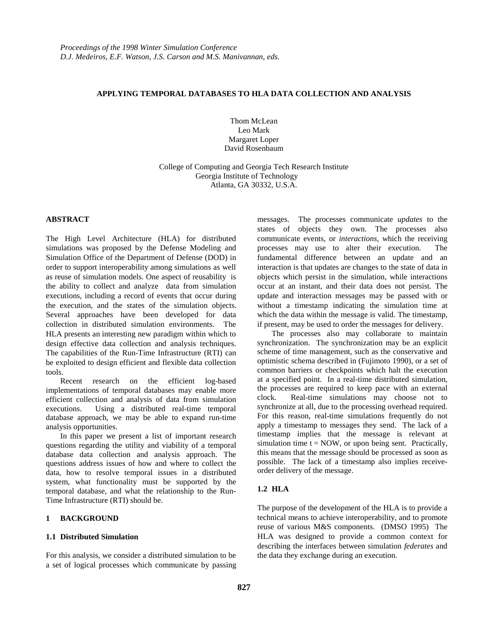## **APPLYING TEMPORAL DATABASES TO HLA DATA COLLECTION AND ANALYSIS**

Thom McLean Leo Mark Margaret Loper David Rosenbaum

College of Computing and Georgia Tech Research Institute Georgia Institute of Technology Atlanta, GA 30332, U.S.A.

## **ABSTRACT**

The High Level Architecture (HLA) for distributed simulations was proposed by the Defense Modeling and Simulation Office of the Department of Defense (DOD) in order to support interoperability among simulations as well as reuse of simulation models. One aspect of reusability is the ability to collect and analyze data from simulation executions, including a record of events that occur during the execution, and the states of the simulation objects. Several approaches have been developed for data collection in distributed simulation environments. The HLA presents an interesting new paradigm within which to design effective data collection and analysis techniques. The capabilities of the Run-Time Infrastructure (RTI) can be exploited to design efficient and flexible data collection tools.

Recent research on the efficient log-based implementations of temporal databases may enable more efficient collection and analysis of data from simulation executions. Using a distributed real-time temporal database approach, we may be able to expand run-time analysis opportunities.

In this paper we present a list of important research questions regarding the utility and viability of a temporal database data collection and analysis approach. The questions address issues of how and where to collect the data, how to resolve temporal issues in a distributed system, what functionality must be supported by the temporal database, and what the relationship to the Run-Time Infrastructure (RTI) should be.

#### **1 BACKGROUND**

#### **1.1 Distributed Simulation**

For this analysis, we consider a distributed simulation to be a set of logical processes which communicate by passing messages. The processes communicate *updates* to the states of objects they own. The processes also communicate events, or *interactions*, which the receiving processes may use to alter their execution. The fundamental difference between an update and an interaction is that updates are changes to the state of data in objects which persist in the simulation, while interactions occur at an instant, and their data does not persist. The update and interaction messages may be passed with or without a timestamp indicating the simulation time at which the data within the message is valid. The timestamp, if present, may be used to order the messages for delivery.

The processes also may collaborate to maintain synchronization. The synchronization may be an explicit scheme of time management, such as the conservative and optimistic schema described in (Fujimoto 1990), or a set of common barriers or checkpoints which halt the execution at a specified point. In a real-time distributed simulation, the processes are required to keep pace with an external clock. Real-time simulations may choose not to synchronize at all, due to the processing overhead required. For this reason, real-time simulations frequently do not apply a timestamp to messages they send. The lack of a timestamp implies that the message is relevant at simulation time  $t = NOW$ , or upon being sent. Practically, this means that the message should be processed as soon as possible. The lack of a timestamp also implies receiveorder delivery of the message.

#### **1.2 HLA**

The purpose of the development of the HLA is to provide a technical means to achieve interoperability, and to promote reuse of various M&S components. (DMSO 1995) The HLA was designed to provide a common context for describing the interfaces between simulation *federates* and the data they exchange during an execution.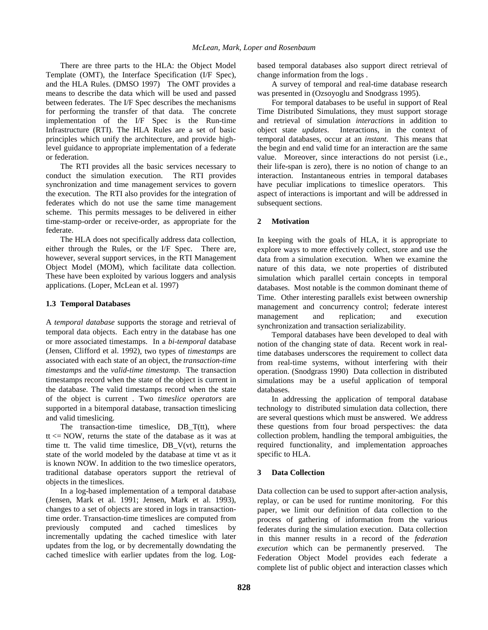There are three parts to the HLA: the Object Model Template (OMT), the Interface Specification (I/F Spec), and the HLA Rules. (DMSO 1997) The OMT provides a means to describe the data which will be used and passed between federates. The I/F Spec describes the mechanisms for performing the transfer of that data. The concrete implementation of the I/F Spec is the Run-time Infrastructure (RTI). The HLA Rules are a set of basic principles which unify the architecture, and provide highlevel guidance to appropriate implementation of a federate or federation.

The RTI provides all the basic services necessary to conduct the simulation execution. The RTI provides synchronization and time management services to govern the execution. The RTI also provides for the integration of federates which do not use the same time management scheme. This permits messages to be delivered in either time-stamp-order or receive-order, as appropriate for the federate.

The HLA does not specifically address data collection, either through the Rules, or the I/F Spec. There are, however, several support services, in the RTI Management Object Model (MOM), which facilitate data collection. These have been exploited by various loggers and analysis applications. (Loper, McLean et al. 1997)

## **1.3 Temporal Databases**

A *temporal database* supports the storage and retrieval of temporal data objects. Each entry in the database has one or more associated timestamps. In a *bi-temporal* database (Jensen, Clifford et al. 1992), two types of *timestamps* are associated with each state of an object, the *transaction-time timestamps* and the *valid-time timestamp.* The transaction timestamps record when the state of the object is current in the database. The valid timestamps record when the state of the object is current . Two *timeslice operators* are supported in a bitemporal database, transaction timeslicing and valid timeslicing.

The transaction-time timeslice,  $DBT(t)$ , where  $tt \leq NOW$ , returns the state of the database as it was at time tt. The valid time timeslice,  $DB_V(vt)$ , returns the state of the world modeled by the database at time vt as it is known NOW. In addition to the two timeslice operators, traditional database operators support the retrieval of objects in the timeslices.

In a log-based implementation of a temporal database (Jensen, Mark et al. 1991; Jensen, Mark et al. 1993), changes to a set of objects are stored in logs in transactiontime order. Transaction-time timeslices are computed from previously computed and cached timeslices by incrementally updating the cached timeslice with later updates from the log, or by decrementally downdating the cached timeslice with earlier updates from the log. Logbased temporal databases also support direct retrieval of change information from the logs .

A survey of temporal and real-time database research was presented in (Ozsoyoglu and Snodgrass 1995).

For temporal databases to be useful in support of Real Time Distributed Simulations, they must support storage and retrieval of simulation *interactions* in addition to object state *updates*. Interactions, in the context of temporal databases, occur at an *instant*. This means that the begin and end valid time for an interaction are the same value. Moreover, since interactions do not persist (i.e., their life-span is zero), there is no notion of change to an interaction. Instantaneous entries in temporal databases have peculiar implications to timeslice operators. This aspect of interactions is important and will be addressed in subsequent sections.

# **2 Motivation**

In keeping with the goals of HLA, it is appropriate to explore ways to more effectively collect, store and use the data from a simulation execution. When we examine the nature of this data, we note properties of distributed simulation which parallel certain concepts in temporal databases. Most notable is the common dominant theme of Time. Other interesting parallels exist between ownership management and concurrency control; federate interest management and replication; and execution synchronization and transaction serializability.

Temporal databases have been developed to deal with notion of the changing state of data. Recent work in realtime databases underscores the requirement to collect data from real-time systems, without interfering with their operation. (Snodgrass 1990) Data collection in distributed simulations may be a useful application of temporal databases.

In addressing the application of temporal database technology to distributed simulation data collection, there are several questions which must be answered. We address these questions from four broad perspectives: the data collection problem, handling the temporal ambiguities, the required functionality, and implementation approaches specific to HLA.

# **3 Data Collection**

Data collection can be used to support after-action analysis, replay, or can be used for runtime monitoring. For this paper, we limit our definition of data collection to the process of gathering of information from the various federates during the simulation execution. Data collection in this manner results in a record of the *federation execution* which can be permanently preserved. The Federation Object Model provides each federate a complete list of public object and interaction classes which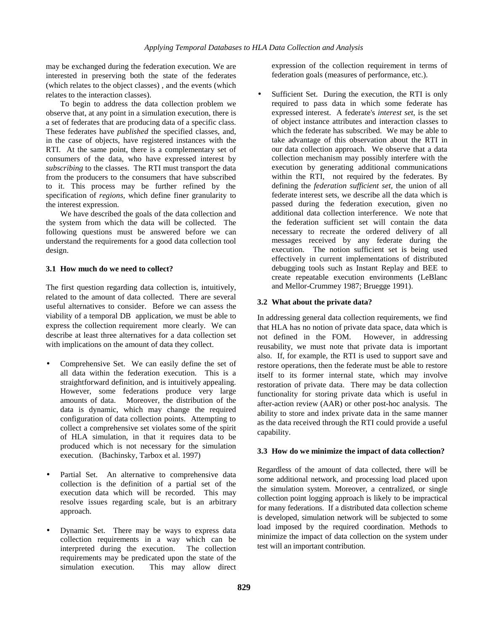may be exchanged during the federation execution. We are interested in preserving both the state of the federates (which relates to the object classes) , and the events (which relates to the interaction classes).

To begin to address the data collection problem we observe that, at any point in a simulation execution, there is a set of federates that are producing data of a specific class. These federates have *published* the specified classes, and, in the case of objects, have registered instances with the RTI. At the same point, there is a complementary set of consumers of the data, who have expressed interest by *subscribing* to the classes. The RTI must transport the data from the producers to the consumers that have subscribed to it. This process may be further refined by the specification of *regions*, which define finer granularity to the interest expression.

We have described the goals of the data collection and the system from which the data will be collected. The following questions must be answered before we can understand the requirements for a good data collection tool design.

## **3.1 How much do we need to collect?**

The first question regarding data collection is, intuitively, related to the amount of data collected. There are several useful alternatives to consider. Before we can assess the viability of a temporal DB application, we must be able to express the collection requirement more clearly. We can describe at least three alternatives for a data collection set with implications on the amount of data they collect.

- Comprehensive Set. We can easily define the set of all data within the federation execution. This is a straightforward definition, and is intuitively appealing. However, some federations produce very large amounts of data. Moreover, the distribution of the data is dynamic, which may change the required configuration of data collection points. Attempting to collect a comprehensive set violates some of the spirit of HLA simulation, in that it requires data to be produced which is not necessary for the simulation execution. (Bachinsky, Tarbox et al. 1997)
- Partial Set. An alternative to comprehensive data collection is the definition of a partial set of the execution data which will be recorded. This may resolve issues regarding scale, but is an arbitrary approach.
- Dynamic Set. There may be ways to express data collection requirements in a way which can be interpreted during the execution. The collection requirements may be predicated upon the state of the simulation execution. This may allow direct

expression of the collection requirement in terms of federation goals (measures of performance, etc.).

Sufficient Set. During the execution, the RTI is only required to pass data in which some federate has expressed interest. A federate's *interest set*, is the set of object instance attributes and interaction classes to which the federate has subscribed. We may be able to take advantage of this observation about the RTI in our data collection approach. We observe that a data collection mechanism may possibly interfere with the execution by generating additional communications within the RTI, not required by the federates. By defining the *federation sufficient set,* the union of all federate interest sets, we describe all the data which is passed during the federation execution, given no additional data collection interference. We note that the federation sufficient set will contain the data necessary to recreate the ordered delivery of all messages received by any federate during the execution. The notion sufficient set is being used effectively in current implementations of distributed debugging tools such as Instant Replay and BEE to create repeatable execution environments (LeBlanc and Mellor-Crummey 1987; Bruegge 1991).

# **3.2 What about the private data?**

In addressing general data collection requirements, we find that HLA has no notion of private data space, data which is not defined in the FOM. However, in addressing reusability, we must note that private data is important also. If, for example, the RTI is used to support save and restore operations, then the federate must be able to restore itself to its former internal state, which may involve restoration of private data. There may be data collection functionality for storing private data which is useful in after-action review (AAR) or other post-hoc analysis. The ability to store and index private data in the same manner as the data received through the RTI could provide a useful capability.

# **3.3 How do we minimize the impact of data collection?**

Regardless of the amount of data collected, there will be some additional network, and processing load placed upon the simulation system. Moreover, a centralized, or single collection point logging approach is likely to be impractical for many federations. If a distributed data collection scheme is developed, simulation network will be subjected to some load imposed by the required coordination. Methods to minimize the impact of data collection on the system under test will an important contribution.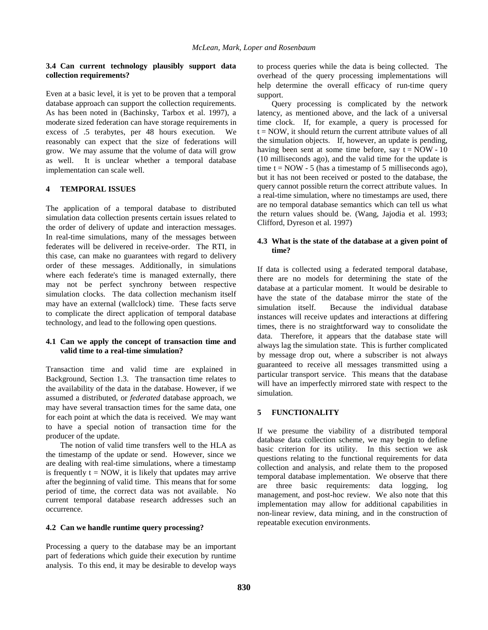### **3.4 Can current technology plausibly support data collection requirements?**

Even at a basic level, it is yet to be proven that a temporal database approach can support the collection requirements. As has been noted in (Bachinsky, Tarbox et al. 1997), a moderate sized federation can have storage requirements in excess of .5 terabytes, per 48 hours execution. We reasonably can expect that the size of federations will grow. We may assume that the volume of data will grow as well. It is unclear whether a temporal database implementation can scale well.

## **4 TEMPORAL ISSUES**

The application of a temporal database to distributed simulation data collection presents certain issues related to the order of delivery of update and interaction messages. In real-time simulations, many of the messages between federates will be delivered in receive-order. The RTI, in this case, can make no guarantees with regard to delivery order of these messages. Additionally, in simulations where each federate's time is managed externally, there may not be perfect synchrony between respective simulation clocks. The data collection mechanism itself may have an external (wallclock) time. These facts serve to complicate the direct application of temporal database technology, and lead to the following open questions.

### **4.1 Can we apply the concept of transaction time and valid time to a real-time simulation?**

Transaction time and valid time are explained in Background, Section 1.3. The transaction time relates to the availability of the data in the database. However, if we assumed a distributed, or *federated* database approach, we may have several transaction times for the same data, one for each point at which the data is received. We may want to have a special notion of transaction time for the producer of the update.

The notion of valid time transfers well to the HLA as the timestamp of the update or send. However, since we are dealing with real-time simulations, where a timestamp is frequently  $t = NOW$ , it is likely that updates may arrive after the beginning of valid time. This means that for some period of time, the correct data was not available. No current temporal database research addresses such an occurrence.

#### **4.2 Can we handle runtime query processing?**

Processing a query to the database may be an important part of federations which guide their execution by runtime analysis. To this end, it may be desirable to develop ways

to process queries while the data is being collected. The overhead of the query processing implementations will help determine the overall efficacy of run-time query support.

Query processing is complicated by the network latency, as mentioned above, and the lack of a universal time clock. If, for example, a query is processed for  $t = NOW$ , it should return the current attribute values of all the simulation objects. If, however, an update is pending, having been sent at some time before, say  $t = NOW - 10$ (10 milliseconds ago), and the valid time for the update is time  $t = NOW - 5$  (has a timestamp of 5 milliseconds ago), but it has not been received or posted to the database, the query cannot possible return the correct attribute values. In a real-time simulation, where no timestamps are used, there are no temporal database semantics which can tell us what the return values should be. (Wang, Jajodia et al. 1993; Clifford, Dyreson et al. 1997)

#### **4.3 What is the state of the database at a given point of time?**

If data is collected using a federated temporal database, there are no models for determining the state of the database at a particular moment. It would be desirable to have the state of the database mirror the state of the simulation itself. Because the individual database instances will receive updates and interactions at differing times, there is no straightforward way to consolidate the data. Therefore, it appears that the database state will always lag the simulation state. This is further complicated by message drop out, where a subscriber is not always guaranteed to receive all messages transmitted using a particular transport service. This means that the database will have an imperfectly mirrored state with respect to the simulation.

# **5 FUNCTIONALITY**

If we presume the viability of a distributed temporal database data collection scheme, we may begin to define basic criterion for its utility. In this section we ask questions relating to the functional requirements for data collection and analysis, and relate them to the proposed temporal database implementation. We observe that there are three basic requirements: data logging, log management, and post-hoc review. We also note that this implementation may allow for additional capabilities in non-linear review, data mining, and in the construction of repeatable execution environments.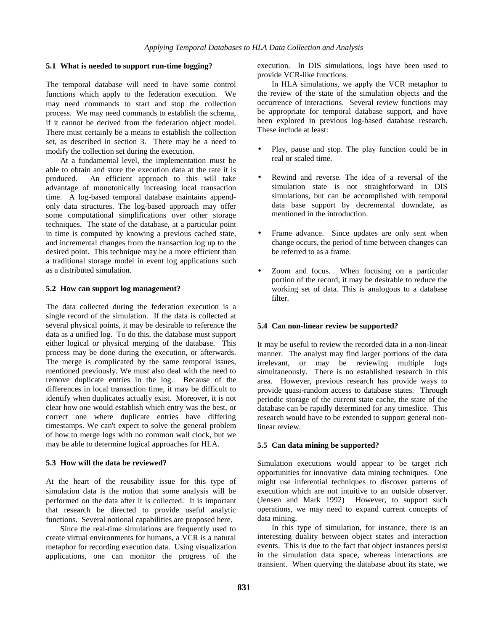### **5.1 What is needed to support run-time logging?**

The temporal database will need to have some control functions which apply to the federation execution. We may need commands to start and stop the collection process. We may need commands to establish the schema, if it cannot be derived from the federation object model. There must certainly be a means to establish the collection set, as described in section 3. There may be a need to modify the collection set during the execution.

At a fundamental level, the implementation must be able to obtain and store the execution data at the rate it is produced. An efficient approach to this will take advantage of monotonically increasing local transaction time. A log-based temporal database maintains appendonly data structures. The log-based approach may offer some computational simplifications over other storage techniques. The state of the database, at a particular point in time is computed by knowing a previous cached state, and incremental changes from the transaction log up to the desired point. This technique may be a more efficient than a traditional storage model in event log applications such as a distributed simulation.

## **5.2 How can support log management?**

The data collected during the federation execution is a single record of the simulation. If the data is collected at several physical points, it may be desirable to reference the data as a unified log. To do this, the database must support either logical or physical merging of the database. This process may be done during the execution, or afterwards. The merge is complicated by the same temporal issues, mentioned previously. We must also deal with the need to remove duplicate entries in the log. Because of the differences in local transaction time, it may be difficult to identify when duplicates actually exist. Moreover, it is not clear how one would establish which entry was the best, or correct one where duplicate entries have differing timestamps. We can't expect to solve the general problem of how to merge logs with no common wall clock, but we may be able to determine logical approaches for HLA.

# **5.3 How will the data be reviewed?**

At the heart of the reusability issue for this type of simulation data is the notion that some analysis will be performed on the data after it is collected. It is important that research be directed to provide useful analytic functions. Several notional capabilities are proposed here.

Since the real-time simulations are frequently used to create virtual environments for humans, a VCR is a natural metaphor for recording execution data. Using visualization applications, one can monitor the progress of the execution. In DIS simulations, logs have been used to provide VCR-like functions.

In HLA simulations, we apply the VCR metaphor to the review of the state of the simulation objects and the occurrence of interactions. Several review functions may be appropriate for temporal database support, and have been explored in previous log-based database research. These include at least:

- Play, pause and stop. The play function could be in real or scaled time.
- Rewind and reverse. The idea of a reversal of the simulation state is not straightforward in DIS simulations, but can be accomplished with temporal data base support by decremental downdate, as mentioned in the introduction.
- Frame advance. Since updates are only sent when change occurs, the period of time between changes can be referred to as a frame.
- Zoom and focus. When focusing on a particular portion of the record, it may be desirable to reduce the working set of data. This is analogous to a database filter.

# **5.4 Can non-linear review be supported?**

It may be useful to review the recorded data in a non-linear manner. The analyst may find larger portions of the data irrelevant, or may be reviewing multiple logs simultaneously. There is no established research in this area. However, previous research has provide ways to provide quasi-random access to database states. Through periodic storage of the current state cache, the state of the database can be rapidly determined for any timeslice. This research would have to be extended to support general nonlinear review.

# **5.5 Can data mining be supported?**

Simulation executions would appear to be target rich opportunities for innovative data mining techniques. One might use inferential techniques to discover patterns of execution which are not intuitive to an outside observer. (Jensen and Mark 1992) However, to support such operations, we may need to expand current concepts of data mining.

In this type of simulation, for instance, there is an interesting duality between object states and interaction events. This is due to the fact that object instances persist in the simulation data space, whereas interactions are transient. When querying the database about its state, we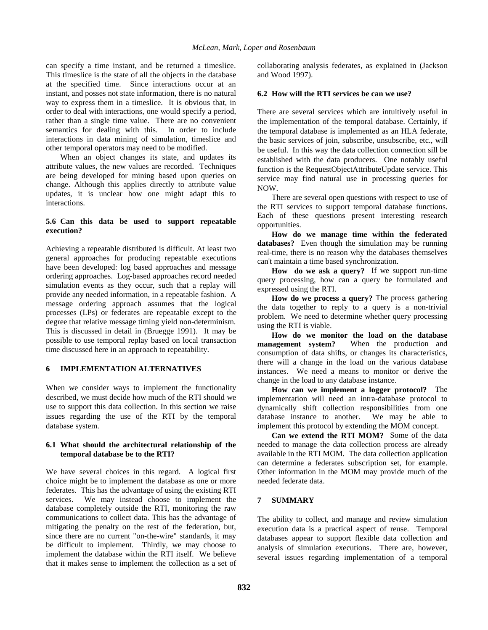can specify a time instant, and be returned a timeslice. This timeslice is the state of all the objects in the database at the specified time. Since interactions occur at an instant, and posses not state information, there is no natural way to express them in a timeslice. It is obvious that, in order to deal with interactions, one would specify a period, rather than a single time value. There are no convenient semantics for dealing with this. In order to include interactions in data mining of simulation, timeslice and other temporal operators may need to be modified.

When an object changes its state, and updates its attribute values, the new values are recorded. Techniques are being developed for mining based upon queries on change. Although this applies directly to attribute value updates, it is unclear how one might adapt this to interactions.

### **5.6 Can this data be used to support repeatable execution?**

Achieving a repeatable distributed is difficult. At least two general approaches for producing repeatable executions have been developed: log based approaches and message ordering approaches. Log-based approaches record needed simulation events as they occur, such that a replay will provide any needed information, in a repeatable fashion. A message ordering approach assumes that the logical processes (LPs) or federates are repeatable except to the degree that relative message timing yield non-determinism. This is discussed in detail in (Bruegge 1991). It may be possible to use temporal replay based on local transaction time discussed here in an approach to repeatability.

### **6 IMPLEMENTATION ALTERNATIVES**

When we consider ways to implement the functionality described, we must decide how much of the RTI should we use to support this data collection. In this section we raise issues regarding the use of the RTI by the temporal database system.

#### **6.1 What should the architectural relationship of the temporal database be to the RTI?**

We have several choices in this regard. A logical first choice might be to implement the database as one or more federates. This has the advantage of using the existing RTI services. We may instead choose to implement the database completely outside the RTI, monitoring the raw communications to collect data. This has the advantage of mitigating the penalty on the rest of the federation, but, since there are no current "on-the-wire" standards, it may be difficult to implement. Thirdly, we may choose to implement the database within the RTI itself. We believe that it makes sense to implement the collection as a set of

collaborating analysis federates, as explained in (Jackson and Wood 1997).

## **6.2 How will the RTI services be can we use?**

There are several services which are intuitively useful in the implementation of the temporal database. Certainly, if the temporal database is implemented as an HLA federate, the basic services of join, subscribe, unsubscribe, etc., will be useful. In this way the data collection connection sill be established with the data producers. One notably useful function is the RequestObjectAttributeUpdate service. This service may find natural use in processing queries for NOW.

There are several open questions with respect to use of the RTI services to support temporal database functions. Each of these questions present interesting research opportunities.

**How do we manage time within the federated databases?** Even though the simulation may be running real-time, there is no reason why the databases themselves can't maintain a time based synchronization.

**How do we ask a query?** If we support run-time query processing, how can a query be formulated and expressed using the RTI.

**How do we process a query?** The process gathering the data together to reply to a query is a non-trivial problem. We need to determine whether query processing using the RTI is viable.

**How do we monitor the load on the database<br>management system?** When the production and When the production and consumption of data shifts, or changes its characteristics, there will a change in the load on the various database instances. We need a means to monitor or derive the change in the load to any database instance.

**How can we implement a logger protocol?** The implementation will need an intra-database protocol to dynamically shift collection responsibilities from one database instance to another. We may be able to implement this protocol by extending the MOM concept.

**Can we extend the RTI MOM?** Some of the data needed to manage the data collection process are already available in the RTI MOM. The data collection application can determine a federates subscription set, for example. Other information in the MOM may provide much of the needed federate data.

# **7 SUMMARY**

The ability to collect, and manage and review simulation execution data is a practical aspect of reuse. Temporal databases appear to support flexible data collection and analysis of simulation executions. There are, however, several issues regarding implementation of a temporal